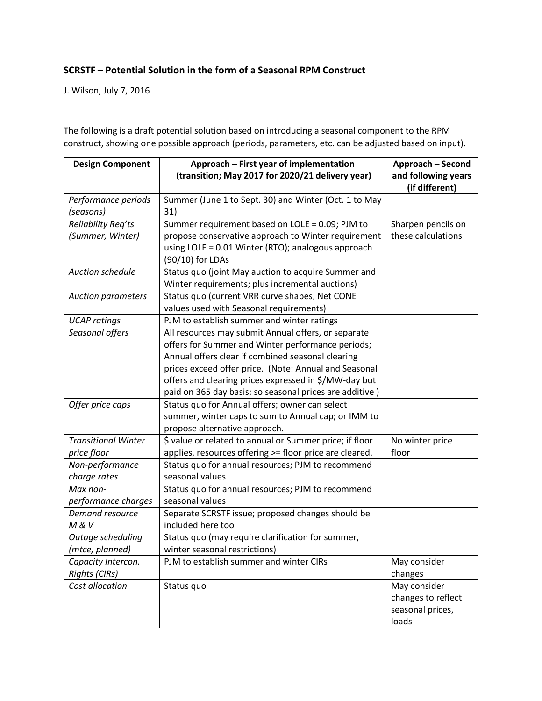## **SCRSTF – Potential Solution in the form of a Seasonal RPM Construct**

J. Wilson, July 7, 2016

The following is a draft potential solution based on introducing a seasonal component to the RPM construct, showing one possible approach (periods, parameters, etc. can be adjusted based on input).

| <b>Design Component</b>                    | Approach - First year of implementation                                                                                                                                                                                                                                         | Approach - Second                                               |
|--------------------------------------------|---------------------------------------------------------------------------------------------------------------------------------------------------------------------------------------------------------------------------------------------------------------------------------|-----------------------------------------------------------------|
|                                            | (transition; May 2017 for 2020/21 delivery year)                                                                                                                                                                                                                                | and following years<br>(if different)                           |
| Performance periods                        | Summer (June 1 to Sept. 30) and Winter (Oct. 1 to May                                                                                                                                                                                                                           |                                                                 |
| (seasons)                                  | 31)                                                                                                                                                                                                                                                                             |                                                                 |
| Reliability Req'ts                         | Summer requirement based on LOLE = 0.09; PJM to                                                                                                                                                                                                                                 | Sharpen pencils on                                              |
| (Summer, Winter)                           | propose conservative approach to Winter requirement<br>using LOLE = 0.01 Winter (RTO); analogous approach<br>(90/10) for LDAs                                                                                                                                                   | these calculations                                              |
| <b>Auction schedule</b>                    | Status quo (joint May auction to acquire Summer and<br>Winter requirements; plus incremental auctions)                                                                                                                                                                          |                                                                 |
| <b>Auction parameters</b>                  | Status quo (current VRR curve shapes, Net CONE<br>values used with Seasonal requirements)                                                                                                                                                                                       |                                                                 |
| <b>UCAP</b> ratings                        | PJM to establish summer and winter ratings                                                                                                                                                                                                                                      |                                                                 |
| Seasonal offers                            | All resources may submit Annual offers, or separate<br>offers for Summer and Winter performance periods;<br>Annual offers clear if combined seasonal clearing<br>prices exceed offer price. (Note: Annual and Seasonal<br>offers and clearing prices expressed in \$/MW-day but |                                                                 |
|                                            | paid on 365 day basis; so seasonal prices are additive)                                                                                                                                                                                                                         |                                                                 |
| Offer price caps                           | Status quo for Annual offers; owner can select<br>summer, winter caps to sum to Annual cap; or IMM to<br>propose alternative approach.                                                                                                                                          |                                                                 |
| <b>Transitional Winter</b>                 | \$ value or related to annual or Summer price; if floor                                                                                                                                                                                                                         | No winter price                                                 |
| price floor                                | applies, resources offering >= floor price are cleared.                                                                                                                                                                                                                         | floor                                                           |
| Non-performance<br>charge rates            | Status quo for annual resources; PJM to recommend<br>seasonal values                                                                                                                                                                                                            |                                                                 |
| Max non-<br>performance charges            | Status quo for annual resources; PJM to recommend<br>seasonal values                                                                                                                                                                                                            |                                                                 |
| Demand resource<br>M&V                     | Separate SCRSTF issue; proposed changes should be<br>included here too                                                                                                                                                                                                          |                                                                 |
| Outage scheduling<br>(mtce, planned)       | Status quo (may require clarification for summer,<br>winter seasonal restrictions)                                                                                                                                                                                              |                                                                 |
| Capacity Intercon.<br><b>Rights (CIRs)</b> | PJM to establish summer and winter CIRs                                                                                                                                                                                                                                         | May consider<br>changes                                         |
| Cost allocation                            | Status quo                                                                                                                                                                                                                                                                      | May consider<br>changes to reflect<br>seasonal prices,<br>loads |